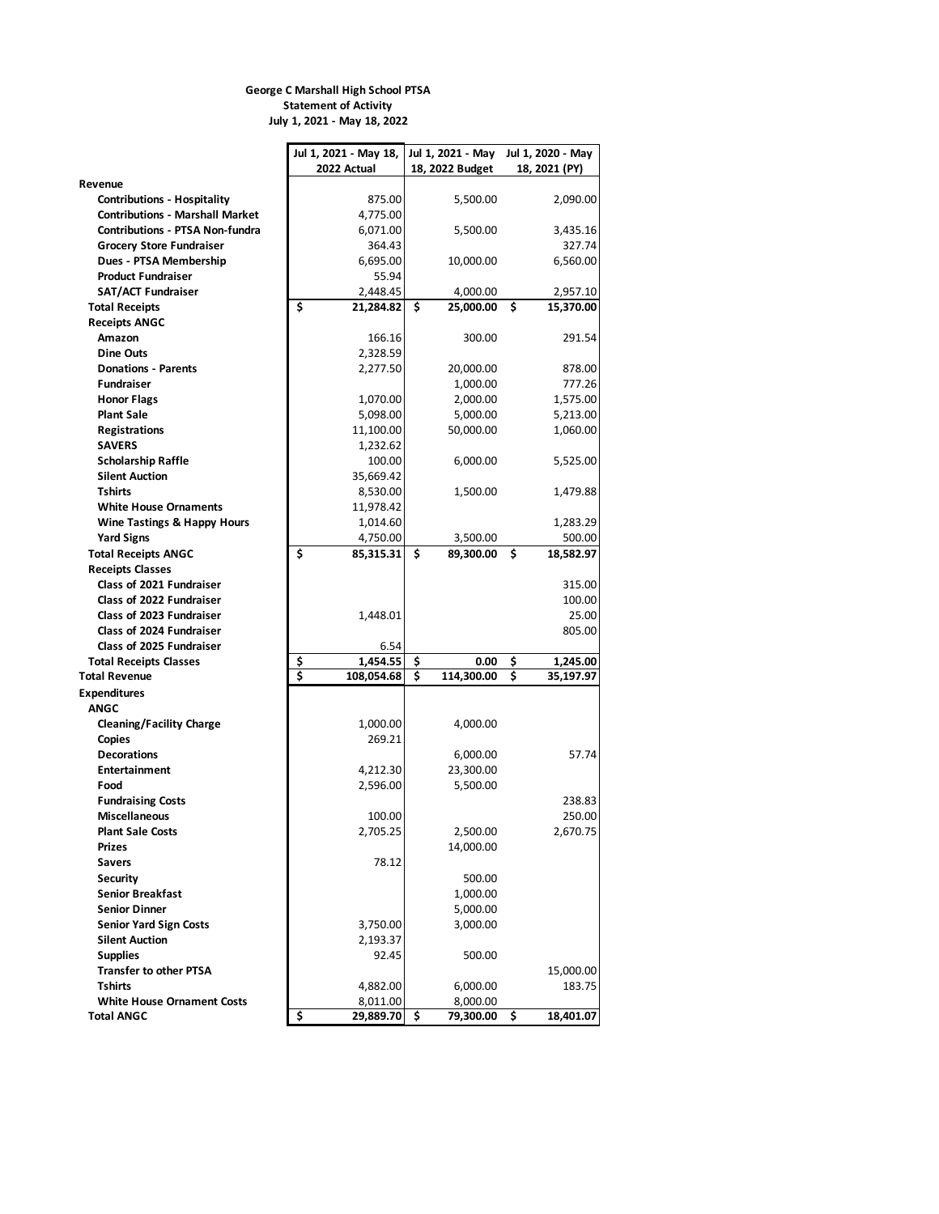## **George C Marshall High School PTSA Statement of Activity July 1, 2021 - May 18, 2022**

|                                                    | Jul 1, 2021 - May 18, | Jul 1, 2021 - May Jul 1, 2020 - May |                    |  |
|----------------------------------------------------|-----------------------|-------------------------------------|--------------------|--|
|                                                    | 2022 Actual           | 18, 2022 Budget                     | 18, 2021 (PY)      |  |
| Revenue                                            |                       |                                     |                    |  |
| <b>Contributions - Hospitality</b>                 | 875.00                | 5,500.00                            | 2,090.00           |  |
| <b>Contributions - Marshall Market</b>             | 4,775.00              |                                     |                    |  |
| <b>Contributions - PTSA Non-fundra</b>             | 6,071.00              | 5,500.00                            | 3,435.16           |  |
| <b>Grocery Store Fundraiser</b>                    | 364.43                |                                     | 327.74             |  |
| Dues - PTSA Membership                             | 6,695.00              | 10,000.00                           | 6,560.00           |  |
| <b>Product Fundraiser</b>                          | 55.94                 |                                     |                    |  |
| <b>SAT/ACT Fundraiser</b>                          | 2.448.45              | 4,000.00                            | 2,957.10           |  |
| <b>Total Receipts</b>                              | \$<br>21,284.82       | 25,000.00<br>\$                     | \$<br>15,370.00    |  |
| <b>Receipts ANGC</b>                               |                       |                                     |                    |  |
| Amazon                                             | 166.16                | 300.00                              | 291.54             |  |
| Dine Outs                                          | 2,328.59              |                                     |                    |  |
| <b>Donations - Parents</b>                         | 2,277.50              | 20,000.00                           | 878.00             |  |
| <b>Fundraiser</b>                                  |                       | 1,000.00                            | 777.26             |  |
| <b>Honor Flags</b>                                 | 1,070.00              | 2,000.00                            | 1,575.00           |  |
| <b>Plant Sale</b>                                  | 5,098.00              | 5,000.00                            | 5,213.00           |  |
| Registrations                                      | 11,100.00             | 50,000.00                           | 1,060.00           |  |
| <b>SAVERS</b>                                      | 1,232.62              |                                     |                    |  |
| <b>Scholarship Raffle</b><br><b>Silent Auction</b> | 100.00                | 6,000.00                            | 5,525.00           |  |
| Tshirts                                            | 35,669.42             | 1,500.00                            |                    |  |
| <b>White House Ornaments</b>                       | 8,530.00              |                                     | 1,479.88           |  |
|                                                    | 11,978.42             |                                     |                    |  |
| Wine Tastings & Happy Hours<br><b>Yard Signs</b>   | 1,014.60<br>4,750.00  | 3,500.00                            | 1,283.29<br>500.00 |  |
| <b>Total Receipts ANGC</b>                         | \$<br>85,315.31       | 89,300.00<br>\$.                    | \$.<br>18,582.97   |  |
| <b>Receipts Classes</b>                            |                       |                                     |                    |  |
| Class of 2021 Fundraiser                           |                       |                                     | 315.00             |  |
| <b>Class of 2022 Fundraiser</b>                    |                       |                                     | 100.00             |  |
| <b>Class of 2023 Fundraiser</b>                    | 1,448.01              |                                     | 25.00              |  |
| <b>Class of 2024 Fundraiser</b>                    |                       |                                     | 805.00             |  |
| Class of 2025 Fundraiser                           | 6.54                  |                                     |                    |  |
| <b>Total Receipts Classes</b>                      | \$<br>1,454.55        | \$<br>0.00                          | \$<br>1,245.00     |  |
| <b>Total Revenue</b>                               | \$<br>108,054.68      | \$<br>114,300.00                    | \$<br>35,197.97    |  |
| <b>Expenditures</b>                                |                       |                                     |                    |  |
| <b>ANGC</b>                                        |                       |                                     |                    |  |
| <b>Cleaning/Facility Charge</b>                    | 1,000.00              | 4,000.00                            |                    |  |
| Copies                                             | 269.21                |                                     |                    |  |
| <b>Decorations</b>                                 |                       | 6,000.00                            | 57.74              |  |
| <b>Entertainment</b>                               | 4,212.30              | 23,300.00                           |                    |  |
| Food                                               | 2,596.00              | 5,500.00                            |                    |  |
| <b>Fundraising Costs</b>                           |                       |                                     | 238.83             |  |
| <b>Miscellaneous</b>                               | 100.00                |                                     | 250.00             |  |
| <b>Plant Sale Costs</b>                            | 2,705.25              | 2,500.00                            | 2,670.75           |  |
| <b>Prizes</b>                                      |                       | 14,000.00                           |                    |  |
| <b>Savers</b>                                      | 78.12                 |                                     |                    |  |
| <b>Security</b>                                    |                       | 500.00                              |                    |  |
| <b>Senior Breakfast</b>                            |                       | 1,000.00                            |                    |  |
| <b>Senior Dinner</b>                               |                       | 5,000.00                            |                    |  |
| <b>Senior Yard Sign Costs</b>                      | 3,750.00              | 3,000.00                            |                    |  |
| <b>Silent Auction</b>                              | 2,193.37              |                                     |                    |  |
| <b>Supplies</b>                                    | 92.45                 | 500.00                              |                    |  |
| <b>Transfer to other PTSA</b>                      |                       |                                     | 15,000.00          |  |
| <b>Tshirts</b>                                     | 4,882.00              | 6,000.00                            | 183.75             |  |
| <b>White House Ornament Costs</b>                  | 8,011.00              | 8,000.00                            |                    |  |
| <b>Total ANGC</b>                                  | \$<br>29,889.70       | 79,300.00<br>\$                     | \$<br>18,401.07    |  |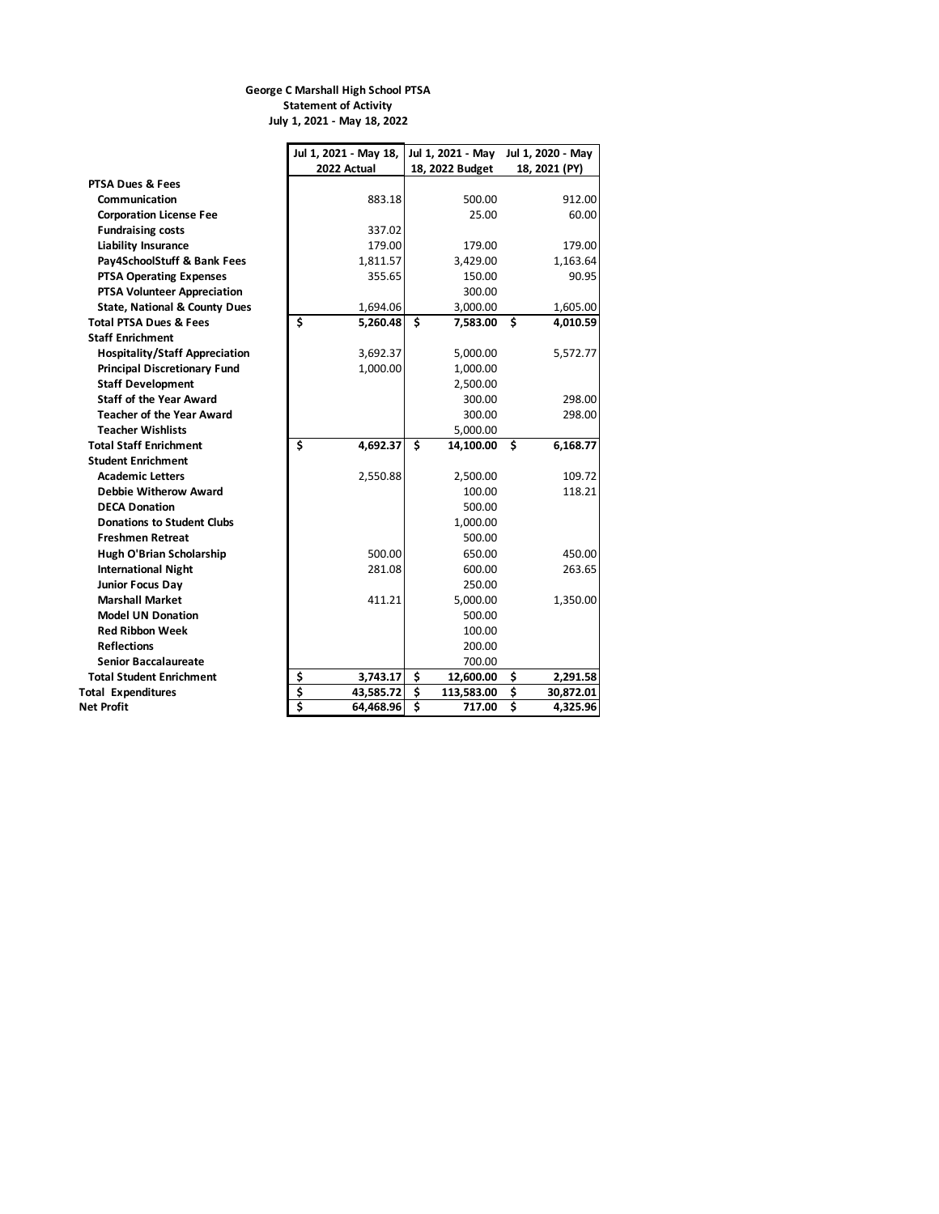## **George C Marshall High School PTSA Statement of Activity July 1, 2021 - May 18, 2022**

|                                          | Jul 1, 2021 - May 18, |    |                 | Jul 1, 2021 - May Jul 1, 2020 - May |               |
|------------------------------------------|-----------------------|----|-----------------|-------------------------------------|---------------|
|                                          | 2022 Actual           |    | 18, 2022 Budget |                                     | 18, 2021 (PY) |
| PTSA Dues & Fees                         |                       |    |                 |                                     |               |
| Communication                            | 883.18                |    | 500.00          |                                     | 912.00        |
| <b>Corporation License Fee</b>           |                       |    | 25.00           |                                     | 60.00         |
| <b>Fundraising costs</b>                 | 337.02                |    |                 |                                     |               |
| <b>Liability Insurance</b>               | 179.00                |    | 179.00          |                                     | 179.00        |
| Pay4SchoolStuff & Bank Fees              | 1,811.57              |    | 3,429.00        |                                     | 1,163.64      |
| <b>PTSA Operating Expenses</b>           | 355.65                |    | 150.00          |                                     | 90.95         |
| PTSA Volunteer Appreciation              |                       |    | 300.00          |                                     |               |
| <b>State, National &amp; County Dues</b> | 1,694.06              |    | 3,000.00        |                                     | 1,605.00      |
| <b>Total PTSA Dues &amp; Fees</b>        | \$<br>5,260.48        | \$ | 7,583.00        | \$                                  | 4,010.59      |
| <b>Staff Enrichment</b>                  |                       |    |                 |                                     |               |
| <b>Hospitality/Staff Appreciation</b>    | 3,692.37              |    | 5,000.00        |                                     | 5,572.77      |
| <b>Principal Discretionary Fund</b>      | 1,000.00              |    | 1,000.00        |                                     |               |
| <b>Staff Development</b>                 |                       |    | 2,500.00        |                                     |               |
| <b>Staff of the Year Award</b>           |                       |    | 300.00          |                                     | 298.00        |
| <b>Teacher of the Year Award</b>         |                       |    | 300.00          |                                     | 298.00        |
| <b>Teacher Wishlists</b>                 |                       |    | 5,000.00        |                                     |               |
| <b>Total Staff Enrichment</b>            | \$<br>4,692.37        | \$ | 14,100.00       | \$                                  | 6,168.77      |
| <b>Student Enrichment</b>                |                       |    |                 |                                     |               |
| <b>Academic Letters</b>                  | 2,550.88              |    | 2,500.00        |                                     | 109.72        |
| Debbie Witherow Award                    |                       |    | 100.00          |                                     | 118.21        |
| <b>DECA Donation</b>                     |                       |    | 500.00          |                                     |               |
| <b>Donations to Student Clubs</b>        |                       |    | 1,000.00        |                                     |               |
| <b>Freshmen Retreat</b>                  |                       |    | 500.00          |                                     |               |
| Hugh O'Brian Scholarship                 | 500.00                |    | 650.00          |                                     | 450.00        |
| <b>International Night</b>               | 281.08                |    | 600.00          |                                     | 263.65        |
| <b>Junior Focus Day</b>                  |                       |    | 250.00          |                                     |               |
| <b>Marshall Market</b>                   | 411.21                |    | 5,000.00        |                                     | 1,350.00      |
| <b>Model UN Donation</b>                 |                       |    | 500.00          |                                     |               |
| <b>Red Ribbon Week</b>                   |                       |    | 100.00          |                                     |               |
| <b>Reflections</b>                       |                       |    | 200.00          |                                     |               |
| <b>Senior Baccalaureate</b>              |                       |    | 700.00          |                                     |               |
| <b>Total Student Enrichment</b>          | \$<br>3,743.17        | \$ | 12,600.00       | \$                                  | 2,291.58      |
| <b>Total Expenditures</b>                | \$<br>43,585.72       | \$ | 113,583.00      | \$                                  | 30,872.01     |
| Net Profit                               | \$<br>64,468.96       | 3  | 717.00          | 3                                   | 4,325.96      |
|                                          |                       |    |                 |                                     |               |